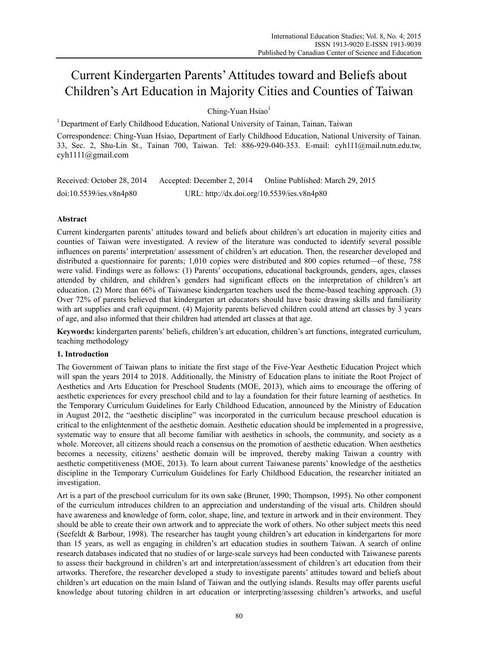# Current Kindergarten Parents' Attitudes toward and Beliefs about Children's Art Education in Majority Cities and Counties of Taiwan

 $Chine-Yuan Hsiao<sup>1</sup>$ 

<sup>1</sup> Department of Early Childhood Education, National University of Tainan, Tainan, Taiwan

Correspondence: Ching-Yuan Hsiao, Department of Early Childhood Education, National University of Tainan. 33, Sec. 2, Shu-Lin St., Tainan 700, Taiwan. Tel: 886-929-040-353. E-mail: cyh111@mail.nutn.edu.tw, cyh1111@gmail.com

| Received: October 28, 2014 | Accepted: December 2, 2014                 | Online Published: March 29, 2015 |
|----------------------------|--------------------------------------------|----------------------------------|
| doi:10.5539/ies.v8n4p80    | URL: http://dx.doi.org/10.5539/ies.v8n4p80 |                                  |

# **Abstract**

Current kindergarten parents' attitudes toward and beliefs about children's art education in majority cities and counties of Taiwan were investigated. A review of the literature was conducted to identify several possible influences on parents' interpretation/ assessment of children's art education. Then, the researcher developed and distributed a questionnaire for parents; 1,010 copies were distributed and 800 copies returned—of these, 758 were valid. Findings were as follows: (1) Parents' occupations, educational backgrounds, genders, ages, classes attended by children, and children's genders had significant effects on the interpretation of children's art education. (2) More than 66% of Taiwanese kindergarten teachers used the theme-based teaching approach. (3) Over 72% of parents believed that kindergarten art educators should have basic drawing skills and familiarity with art supplies and craft equipment. (4) Majority parents believed children could attend art classes by 3 years of age, and also informed that their children had attended art classes at that age.

**Keywords:** kindergarten parents' beliefs, children's art education, children's art functions, integrated curriculum, teaching methodology

## **1. Introduction**

The Government of Taiwan plans to initiate the first stage of the Five-Year Aesthetic Education Project which will span the years 2014 to 2018. Additionally, the Ministry of Education plans to initiate the Root Project of Aesthetics and Arts Education for Preschool Students (MOE, 2013), which aims to encourage the offering of aesthetic experiences for every preschool child and to lay a foundation for their future learning of aesthetics. In the Temporary Curriculum Guidelines for Early Childhood Education, announced by the Ministry of Education in August 2012, the "aesthetic discipline" was incorporated in the curriculum because preschool education is critical to the enlightenment of the aesthetic domain. Aesthetic education should be implemented in a progressive, systematic way to ensure that all become familiar with aesthetics in schools, the community, and society as a whole. Moreover, all citizens should reach a consensus on the promotion of aesthetic education. When aesthetics becomes a necessity, citizens' aesthetic domain will be improved, thereby making Taiwan a country with aesthetic competitiveness (MOE, 2013). To learn about current Taiwanese parents' knowledge of the aesthetics discipline in the Temporary Curriculum Guidelines for Early Childhood Education, the researcher initiated an investigation.

Art is a part of the preschool curriculum for its own sake (Bruner, 1990; Thompson, 1995). No other component of the curriculum introduces children to an appreciation and understanding of the visual arts. Children should have awareness and knowledge of form, color, shape, line, and texture in artwork and in their environment. They should be able to create their own artwork and to appreciate the work of others. No other subject meets this need (Seefeldt & Barbour, 1998). The researcher has taught young children's art education in kindergartens for more than 15 years, as well as engaging in children's art education studies in southern Taiwan. A search of online research databases indicated that no studies of or large-scale surveys had been conducted with Taiwanese parents to assess their background in children's art and interpretation/assessment of children's art education from their artworks. Therefore, the researcher developed a study to investigate parents' attitudes toward and beliefs about children's art education on the main Island of Taiwan and the outlying islands. Results may offer parents useful knowledge about tutoring children in art education or interpreting/assessing children's artworks, and useful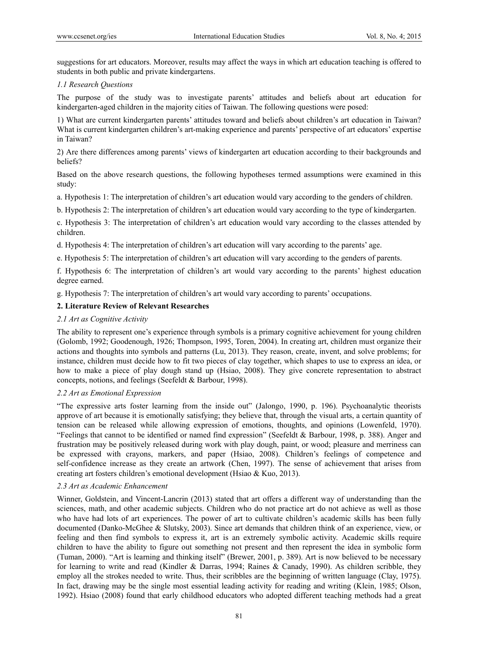suggestions for art educators. Moreover, results may affect the ways in which art education teaching is offered to students in both public and private kindergartens.

## *1.1 Research Questions*

The purpose of the study was to investigate parents' attitudes and beliefs about art education for kindergarten-aged children in the majority cities of Taiwan. The following questions were posed:

1) What are current kindergarten parents' attitudes toward and beliefs about children's art education in Taiwan? What is current kindergarten children's art-making experience and parents' perspective of art educators' expertise in Taiwan?

2) Are there differences among parents' views of kindergarten art education according to their backgrounds and beliefs?

Based on the above research questions, the following hypotheses termed assumptions were examined in this study:

a. Hypothesis 1: The interpretation of children's art education would vary according to the genders of children.

b. Hypothesis 2: The interpretation of children's art education would vary according to the type of kindergarten.

c. Hypothesis 3: The interpretation of children's art education would vary according to the classes attended by children.

d. Hypothesis 4: The interpretation of children's art education will vary according to the parents' age.

e. Hypothesis 5: The interpretation of children's art education will vary according to the genders of parents.

f. Hypothesis 6: The interpretation of children's art would vary according to the parents' highest education degree earned.

g. Hypothesis 7: The interpretation of children's art would vary according to parents' occupations.

# **2. Literature Review of Relevant Researches**

# *2.1 Art as Cognitive Activity*

The ability to represent one's experience through symbols is a primary cognitive achievement for young children (Golomb, 1992; Goodenough, 1926; Thompson, 1995, Toren, 2004). In creating art, children must organize their actions and thoughts into symbols and patterns (Lu, 2013). They reason, create, invent, and solve problems; for instance, children must decide how to fit two pieces of clay together, which shapes to use to express an idea, or how to make a piece of play dough stand up (Hsiao, 2008). They give concrete representation to abstract concepts, notions, and feelings (Seefeldt & Barbour, 1998).

## *2.2 Art as Emotional Expression*

"The expressive arts foster learning from the inside out" (Jalongo, 1990, p. 196). Psychoanalytic theorists approve of art because it is emotionally satisfying; they believe that, through the visual arts, a certain quantity of tension can be released while allowing expression of emotions, thoughts, and opinions (Lowenfeld, 1970). "Feelings that cannot to be identified or named find expression" (Seefeldt & Barbour, 1998, p. 388). Anger and frustration may be positively released during work with play dough, paint, or wood; pleasure and merriness can be expressed with crayons, markers, and paper (Hsiao, 2008). Children's feelings of competence and self-confidence increase as they create an artwork (Chen, 1997). The sense of achievement that arises from creating art fosters children's emotional development (Hsiao & Kuo, 2013).

## *2.3 Art as Academic Enhancement*

Winner, Goldstein, and Vincent-Lancrin (2013) stated that art offers a different way of understanding than the sciences, math, and other academic subjects. Children who do not practice art do not achieve as well as those who have had lots of art experiences. The power of art to cultivate children's academic skills has been fully documented (Danko-McGhee & Slutsky, 2003). Since art demands that children think of an experience, view, or feeling and then find symbols to express it, art is an extremely symbolic activity. Academic skills require children to have the ability to figure out something not present and then represent the idea in symbolic form (Tuman, 2000). "Art is learning and thinking itself" (Brewer, 2001, p. 389). Art is now believed to be necessary for learning to write and read (Kindler & Darras, 1994; Raines & Canady, 1990). As children scribble, they employ all the strokes needed to write. Thus, their scribbles are the beginning of written language (Clay, 1975). In fact, drawing may be the single most essential leading activity for reading and writing (Klein, 1985; Olson, 1992). Hsiao (2008) found that early childhood educators who adopted different teaching methods had a great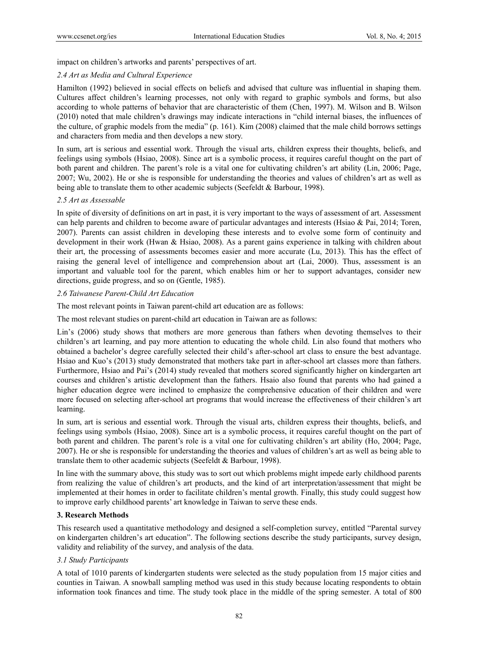impact on children's artworks and parents' perspectives of art.

# *2.4 Art as Media and Cultural Experience*

Hamilton (1992) believed in social effects on beliefs and advised that culture was influential in shaping them. Cultures affect children's learning processes, not only with regard to graphic symbols and forms, but also according to whole patterns of behavior that are characteristic of them (Chen, 1997). M. Wilson and B. Wilson (2010) noted that male children's drawings may indicate interactions in "child internal biases, the influences of the culture, of graphic models from the media" (p. 161). Kim (2008) claimed that the male child borrows settings and characters from media and then develops a new story.

In sum, art is serious and essential work. Through the visual arts, children express their thoughts, beliefs, and feelings using symbols (Hsiao, 2008). Since art is a symbolic process, it requires careful thought on the part of both parent and children. The parent's role is a vital one for cultivating children's art ability (Lin, 2006; Page, 2007; Wu, 2002). He or she is responsible for understanding the theories and values of children's art as well as being able to translate them to other academic subjects (Seefeldt & Barbour, 1998).

## *2.5 Art as Assessable*

In spite of diversity of definitions on art in past, it is very important to the ways of assessment of art. Assessment can help parents and children to become aware of particular advantages and interests (Hsiao & Pai, 2014; Toren, 2007). Parents can assist children in developing these interests and to evolve some form of continuity and development in their work (Hwan & Hsiao, 2008). As a parent gains experience in talking with children about their art, the processing of assessments becomes easier and more accurate (Lu, 2013). This has the effect of raising the general level of intelligence and comprehension about art (Lai, 2000). Thus, assessment is an important and valuable tool for the parent, which enables him or her to support advantages, consider new directions, guide progress, and so on (Gentle, 1985).

# *2.6 Taiwanese Parent-Child Art Education*

The most relevant points in Taiwan parent-child art education are as follows:

The most relevant studies on parent-child art education in Taiwan are as follows:

Lin's (2006) study shows that mothers are more generous than fathers when devoting themselves to their children's art learning, and pay more attention to educating the whole child. Lin also found that mothers who obtained a bachelor's degree carefully selected their child's after-school art class to ensure the best advantage. Hsiao and Kuo's (2013) study demonstrated that mothers take part in after-school art classes more than fathers. Furthermore, Hsiao and Pai's (2014) study revealed that mothers scored significantly higher on kindergarten art courses and children's artistic development than the fathers. Hsaio also found that parents who had gained a higher education degree were inclined to emphasize the comprehensive education of their children and were more focused on selecting after-school art programs that would increase the effectiveness of their children's art learning.

In sum, art is serious and essential work. Through the visual arts, children express their thoughts, beliefs, and feelings using symbols (Hsiao, 2008). Since art is a symbolic process, it requires careful thought on the part of both parent and children. The parent's role is a vital one for cultivating children's art ability (Ho, 2004; Page, 2007). He or she is responsible for understanding the theories and values of children's art as well as being able to translate them to other academic subjects (Seefeldt & Barbour, 1998).

In line with the summary above, this study was to sort out which problems might impede early childhood parents from realizing the value of children's art products, and the kind of art interpretation/assessment that might be implemented at their homes in order to facilitate children's mental growth. Finally, this study could suggest how to improve early childhood parents' art knowledge in Taiwan to serve these ends.

# **3. Research Methods**

This research used a quantitative methodology and designed a self-completion survey, entitled "Parental survey on kindergarten children's art education". The following sections describe the study participants, survey design, validity and reliability of the survey, and analysis of the data.

# *3.1 Study Participants*

A total of 1010 parents of kindergarten students were selected as the study population from 15 major cities and counties in Taiwan. A snowball sampling method was used in this study because locating respondents to obtain information took finances and time. The study took place in the middle of the spring semester. A total of 800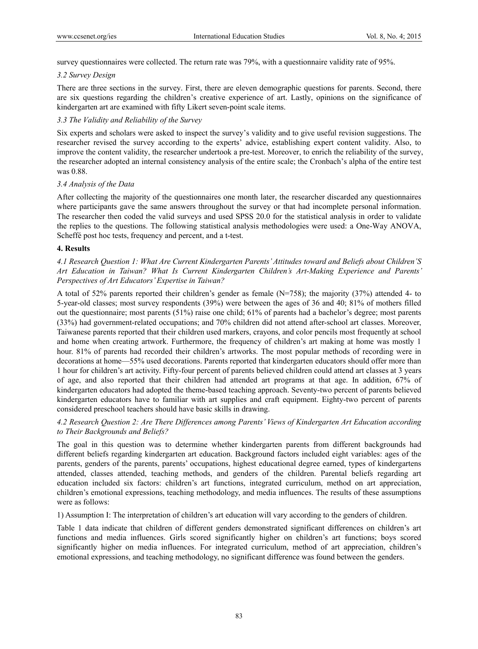survey questionnaires were collected. The return rate was 79%, with a questionnaire validity rate of 95%.

#### *3.2 Survey Design*

There are three sections in the survey. First, there are eleven demographic questions for parents. Second, there are six questions regarding the children's creative experience of art. Lastly, opinions on the significance of kindergarten art are examined with fifty Likert seven-point scale items.

## *3.3 The Validity and Reliability of the Survey*

Six experts and scholars were asked to inspect the survey's validity and to give useful revision suggestions. The researcher revised the survey according to the experts' advice, establishing expert content validity. Also, to improve the content validity, the researcher undertook a pre-test. Moreover, to enrich the reliability of the survey, the researcher adopted an internal consistency analysis of the entire scale; the Cronbach's alpha of the entire test was 0.88.

## *3.4 Analysis of the Data*

After collecting the majority of the questionnaires one month later, the researcher discarded any questionnaires where participants gave the same answers throughout the survey or that had incomplete personal information. The researcher then coded the valid surveys and used SPSS 20.0 for the statistical analysis in order to validate the replies to the questions. The following statistical analysis methodologies were used: a One-Way ANOVA, Scheffé post hoc tests, frequency and percent, and a t-test.

#### **4. Results**

*4.1 Research Question 1: What Are Current Kindergarten Parents' Attitudes toward and Beliefs about Children'S Art Education in Taiwan? What Is Current Kindergarten Children's Art-Making Experience and Parents' Perspectives of Art Educators' Expertise in Taiwan?* 

A total of 52% parents reported their children's gender as female  $(N=758)$ ; the majority (37%) attended 4- to 5-year-old classes; most survey respondents (39%) were between the ages of 36 and 40; 81% of mothers filled out the questionnaire; most parents (51%) raise one child; 61% of parents had a bachelor's degree; most parents (33%) had government-related occupations; and 70% children did not attend after-school art classes. Moreover, Taiwanese parents reported that their children used markers, crayons, and color pencils most frequently at school and home when creating artwork. Furthermore, the frequency of children's art making at home was mostly 1 hour. 81% of parents had recorded their children's artworks. The most popular methods of recording were in decorations at home—55% used decorations. Parents reported that kindergarten educators should offer more than 1 hour for children's art activity. Fifty-four percent of parents believed children could attend art classes at 3 years of age, and also reported that their children had attended art programs at that age. In addition, 67% of kindergarten educators had adopted the theme-based teaching approach. Seventy-two percent of parents believed kindergarten educators have to familiar with art supplies and craft equipment. Eighty-two percent of parents considered preschool teachers should have basic skills in drawing.

# *4.2 Research Question 2: Are There Differences among Parents' Views of Kindergarten Art Education according to Their Backgrounds and Beliefs?*

The goal in this question was to determine whether kindergarten parents from different backgrounds had different beliefs regarding kindergarten art education. Background factors included eight variables: ages of the parents, genders of the parents, parents' occupations, highest educational degree earned, types of kindergartens attended, classes attended, teaching methods, and genders of the children. Parental beliefs regarding art education included six factors: children's art functions, integrated curriculum, method on art appreciation, children's emotional expressions, teaching methodology, and media influences. The results of these assumptions were as follows:

1) Assumption I: The interpretation of children's art education will vary according to the genders of children.

Table 1 data indicate that children of different genders demonstrated significant differences on children's art functions and media influences. Girls scored significantly higher on children's art functions; boys scored significantly higher on media influences. For integrated curriculum, method of art appreciation, children's emotional expressions, and teaching methodology, no significant difference was found between the genders.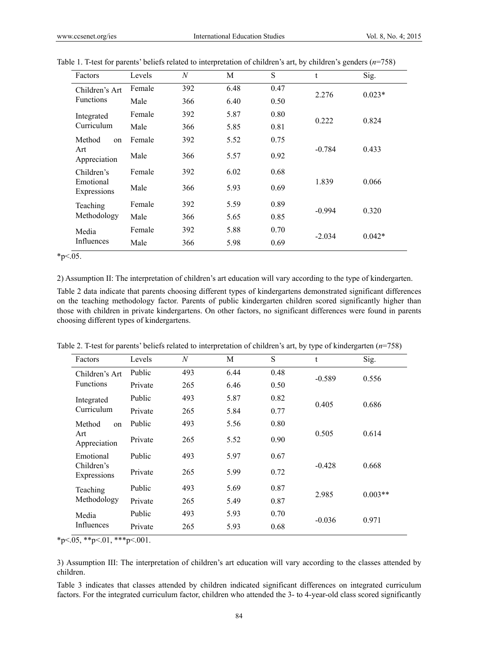| Factors                  | Levels                      | N                   | М        | S        | t        | Sig.     |
|--------------------------|-----------------------------|---------------------|----------|----------|----------|----------|
| Children's Art           | Female                      | 392                 | 6.48     | 0.47     | 2.276    | $0.023*$ |
| <b>Functions</b>         | Male                        | 366                 | 6.40     | 0.50     |          |          |
| Integrated               | Female                      | 392                 | 5.87     | 0.80     | 0.222    | 0.824    |
| Curriculum               | Male                        | 366                 | 5.85     | 0.81     |          |          |
| Method<br>on             | Female                      | 392                 | 5.52     | 0.75     |          |          |
| Art<br>Appreciation      | 0.92<br>366<br>Male<br>5.57 |                     | $-0.784$ | 0.433    |          |          |
| Children's               | Female                      | 392                 | 6.02     | 0.68     |          |          |
| Emotional<br>Expressions | Male                        | 366                 | 5.93     | 0.69     | 1.839    | 0.066    |
| Teaching                 | Female                      | 0.89<br>392<br>5.59 |          | $-0.994$ | 0.320    |          |
| Methodology              | Male                        | 366                 | 5.65     | 0.85     |          |          |
| Media                    | Female                      | 392                 | 5.88     | 0.70     | $-2.034$ | $0.042*$ |
| Influences               | Male                        | 366                 | 5.98     | 0.69     |          |          |
|                          |                             |                     |          |          |          |          |

| Table 1. T-test for parents' beliefs related to interpretation of children's art, by children's genders ( $n=758$ ) |  |
|---------------------------------------------------------------------------------------------------------------------|--|
|                                                                                                                     |  |

 $*p<.05$ .

2) Assumption II: The interpretation of children's art education will vary according to the type of kindergarten.

Table 2 data indicate that parents choosing different types of kindergartens demonstrated significant differences on the teaching methodology factor. Parents of public kindergarten children scored significantly higher than those with children in private kindergartens. On other factors, no significant differences were found in parents choosing different types of kindergartens.

|  | Table 2. T-test for parents' beliefs related to interpretation of children's art, by type of kindergarten $(n=758)$ |  |  |
|--|---------------------------------------------------------------------------------------------------------------------|--|--|
|  |                                                                                                                     |  |  |

| Factors                   | Levels  | N   | M    | S    | t        | Sig.      |
|---------------------------|---------|-----|------|------|----------|-----------|
| Children's Art            | Public  | 493 | 6.44 | 0.48 | $-0.589$ | 0.556     |
| <b>Functions</b>          | Private | 265 | 6.46 | 0.50 |          |           |
| Integrated                | Public  | 493 | 5.87 | 0.82 | 0.405    | 0.686     |
| Curriculum                | Private | 265 | 5.84 | 0.77 |          |           |
| Method<br>on              | Public  | 493 | 5.56 | 0.80 |          |           |
| Art<br>Appreciation       | Private | 265 | 5.52 | 0.90 | 0.505    | 0.614     |
| Emotional                 | Public  | 493 | 5.97 | 0.67 |          |           |
| Children's<br>Expressions | Private | 265 | 5.99 | 0.72 | $-0.428$ | 0.668     |
| Teaching                  | Public  | 493 | 5.69 | 0.87 | 2.985    | $0.003**$ |
| Methodology               | Private | 265 | 5.49 | 0.87 |          |           |
| Media                     | Public  | 493 | 5.93 | 0.70 |          |           |
| Influences                | Private | 265 | 5.93 | 0.68 | $-0.036$ | 0.971     |

 $*p<.05$ ,  $*p<.01$ ,  $**p<.001$ .

3) Assumption III: The interpretation of children's art education will vary according to the classes attended by children.

Table 3 indicates that classes attended by children indicated significant differences on integrated curriculum factors. For the integrated curriculum factor, children who attended the 3- to 4-year-old class scored significantly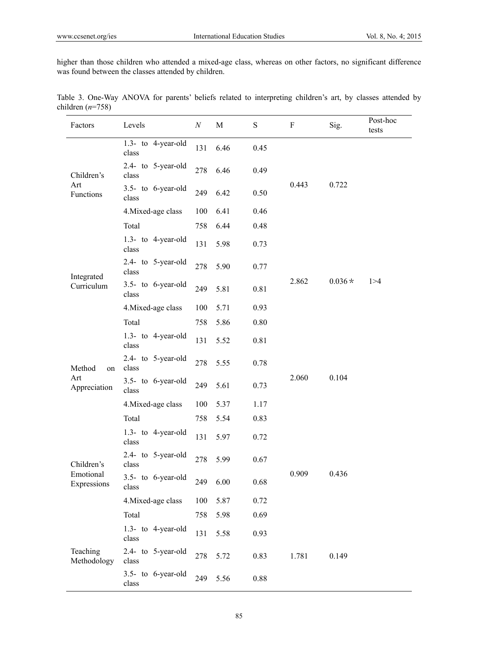higher than those children who attended a mixed-age class, whereas on other factors, no significant difference was found between the classes attended by children.

| Factors                  | Levels                         | $\boldsymbol{N}$ | M    | ${\bf S}$ | F              | Sig.     | Post-hoc<br>tests |
|--------------------------|--------------------------------|------------------|------|-----------|----------------|----------|-------------------|
|                          | 1.3- to 4-year-old<br>class    | 131              | 6.46 | 0.45      |                |          |                   |
| Children's               | 2.4- to 5-year-old<br>class    | 278              | 6.46 | 0.49      |                | 0.722    |                   |
| Art<br>Functions         | 3.5- to 6-year-old<br>class    | 249              | 6.42 | 0.50      | 0.443          |          |                   |
|                          | 4. Mixed-age class             | 100              | 6.41 | 0.46      |                |          |                   |
|                          | Total                          | 758              | 6.44 | 0.48      |                |          |                   |
|                          | $1.3-$ to 4-year-old<br>class  | 131              | 5.98 | 0.73      |                |          |                   |
| Integrated               | 2.4- to 5-year-old<br>class    | 278              | 5.90 | 0.77      |                | $0.036*$ |                   |
| Curriculum               | 3.5- to 6-year-old<br>class    | 249              | 5.81 | 0.81      | 2.862          |          | 1 > 4             |
|                          | 4. Mixed-age class             | 100              | 5.71 | 0.93      |                |          |                   |
|                          | Total                          | 758              | 5.86 | 0.80      |                |          |                   |
|                          | 1.3- to 4-year-old<br>class    | 131              | 5.52 | 0.81      | 2.060          |          |                   |
| Method<br>on             | 2.4- to 5-year-old<br>class    | 278              | 5.55 | 0.78      |                | 0.104    |                   |
| Art<br>Appreciation      | $3.5$ - to 6-year-old<br>class | 249              | 5.61 | 0.73      |                |          |                   |
|                          | 4. Mixed-age class             | 100              | 5.37 | 1.17      |                |          |                   |
|                          | Total                          | 758              | 5.54 | 0.83      |                |          |                   |
|                          | $1.3-$ to 4-year-old<br>class  | 131              | 5.97 | 0.72      |                |          |                   |
| Children's               | 2.4- to 5-year-old<br>class    | 278              | 5.99 | 0.67      |                |          |                   |
| Emotional<br>Expressions | 3.5- to 6-year-old<br>class    | 249              | 6.00 | 0.68      | 0.909          | 0.436    |                   |
|                          | 4. Mixed-age class             | 100              | 5.87 | 0.72      |                |          |                   |
|                          | Total                          | 758              | 5.98 | 0.69      |                |          |                   |
| Teaching<br>Methodology  | 1.3- to 4-year-old<br>class    | 131              | 5.58 | 0.93      |                |          |                   |
|                          | 2.4- to 5-year-old<br>class    | 278              | 5.72 | 0.83      | 1.781<br>0.149 |          |                   |
|                          | 3.5- to 6-year-old<br>class    | 249              | 5.56 | 0.88      |                |          |                   |

Table 3. One-Way ANOVA for parents' beliefs related to interpreting children's art, by classes attended by children (*n*=758)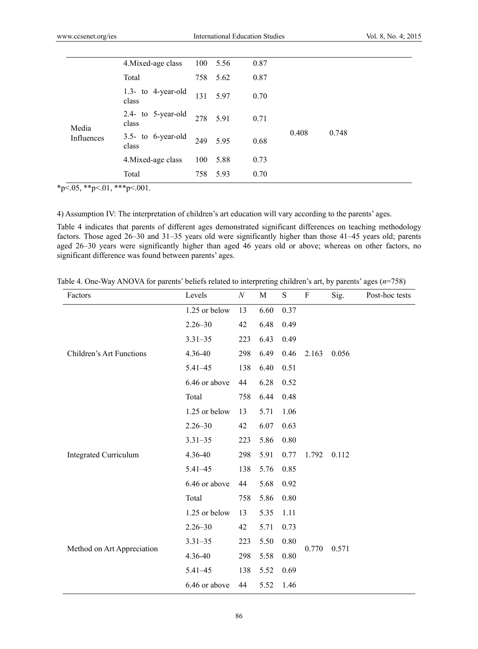|            | 4. Mixed-age class             | 100 | 5.56     | 0.87 |       |       |
|------------|--------------------------------|-----|----------|------|-------|-------|
|            | Total                          |     | 758 5.62 | 0.87 |       |       |
|            | 1.3- to 4-year-old<br>class    | 131 | 597      | 0.70 |       |       |
| Media      | 2.4- to 5-year-old<br>class    |     | 278 5.91 | 0.71 |       |       |
| Influences | $3.5$ - to 6-year-old<br>class | 249 | 595      | 0.68 | 0.408 | 0.748 |
|            | 4. Mixed-age class             | 100 | 5.88     | 0.73 |       |       |
|            | Total                          | 758 | 5.93     | 0.70 |       |       |

 $*p<.05$ ,  $*p<.01$ ,  $**p<.001$ .

4) Assumption IV: The interpretation of children's art education will vary according to the parents' ages.

Table 4 indicates that parents of different ages demonstrated significant differences on teaching methodology factors. Those aged 26–30 and 31–35 years old were significantly higher than those 41–45 years old; parents aged 26–30 years were significantly higher than aged 46 years old or above; whereas on other factors, no significant difference was found between parents' ages.

Table 4. One-Way ANOVA for parents' beliefs related to interpreting children's art, by parents' ages (*n*=758)

| Factors                      | Levels        | $\boldsymbol{N}$ | M    | ${\bf S}$ | F     | Sig.  | Post-hoc tests |
|------------------------------|---------------|------------------|------|-----------|-------|-------|----------------|
|                              | 1.25 or below | 13               | 6.60 | 0.37      |       |       |                |
|                              | $2.26 - 30$   | 42               | 6.48 | 0.49      |       |       |                |
|                              | $3.31 - 35$   | 223              | 6.43 | 0.49      |       |       |                |
| Children's Art Functions     | 4.36-40       | 298              | 6.49 | 0.46      | 2.163 | 0.056 |                |
|                              | 5.41-45       | 138              | 6.40 | 0.51      |       |       |                |
|                              | 6.46 or above | 44               | 6.28 | 0.52      |       |       |                |
|                              | Total         | 758              | 6.44 | 0.48      |       |       |                |
|                              | 1.25 or below | 13               | 5.71 | 1.06      |       |       |                |
|                              | $2.26 - 30$   | 42               | 6.07 | 0.63      |       |       |                |
|                              | $3.31 - 35$   | 223              |      | 0.80      |       |       |                |
| <b>Integrated Curriculum</b> | 4.36-40       | 298              | 5.91 | 0.77      | 1.792 | 0.112 |                |
|                              | 5.41-45       | 138              | 5.76 | 0.85      |       |       |                |
|                              | 6.46 or above | 44               | 5.68 | 0.92      |       |       |                |
|                              | Total         | 758              | 5.86 | 0.80      |       |       |                |
|                              | 1.25 or below | 13               | 5.35 | 1.11      |       |       |                |
|                              | $2.26 - 30$   | 42               | 5.71 | 0.73      |       |       |                |
|                              | $3.31 - 35$   | 223              | 5.50 | 0.80      |       |       |                |
| Method on Art Appreciation   | 4.36-40       | 298              | 5.58 | 0.80      | 0.770 | 0.571 |                |
|                              | 5.41-45       | 138              | 5.52 | 0.69      |       |       |                |
|                              | 6.46 or above | 44               | 5.52 | 1.46      |       |       |                |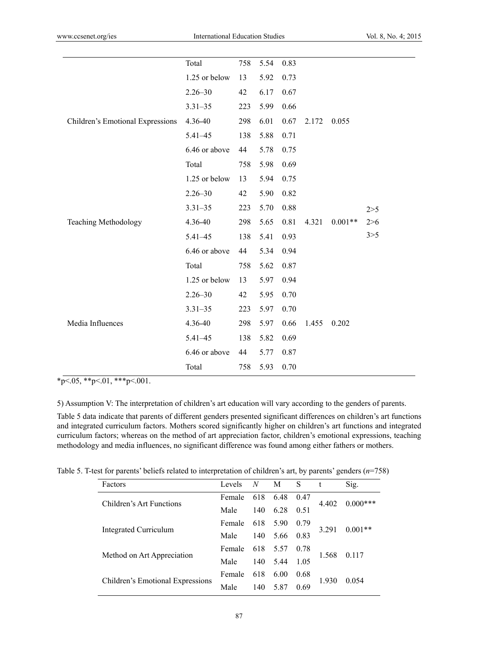|                                  | Total         | 758 | 5.54 | 0.83 |       |           |       |
|----------------------------------|---------------|-----|------|------|-------|-----------|-------|
|                                  | 1.25 or below | 13  | 5.92 | 0.73 |       |           |       |
|                                  | $2.26 - 30$   | 42  | 6.17 | 0.67 |       |           |       |
|                                  | $3.31 - 35$   | 223 | 5.99 | 0.66 |       |           |       |
| Children's Emotional Expressions | 4.36-40       | 298 | 6.01 | 0.67 | 2.172 | 0.055     |       |
|                                  | 5.41-45       | 138 | 5.88 | 0.71 |       |           |       |
|                                  | 6.46 or above | 44  | 5.78 | 0.75 |       |           |       |
|                                  | Total         | 758 | 5.98 | 0.69 |       |           |       |
|                                  | 1.25 or below | 13  | 5.94 | 0.75 |       |           |       |
|                                  | $2.26 - 30$   | 42  | 5.90 | 0.82 |       |           |       |
|                                  | $3.31 - 35$   | 223 | 5.70 | 0.88 |       |           | 2 > 5 |
| Teaching Methodology             | 4.36-40       | 298 | 5.65 | 0.81 | 4.321 | $0.001**$ | 2>6   |
|                                  | 5.41-45       | 138 | 5.41 | 0.93 |       |           | 3 > 5 |
|                                  | 6.46 or above | 44  | 5.34 | 0.94 |       |           |       |
|                                  | Total         | 758 | 5.62 | 0.87 |       |           |       |
|                                  | 1.25 or below | 13  | 5.97 | 0.94 |       |           |       |
|                                  | $2.26 - 30$   | 42  | 5.95 | 0.70 |       |           |       |
|                                  | $3.31 - 35$   | 223 | 5.97 | 0.70 |       |           |       |
| Media Influences                 | 4.36-40       | 298 | 5.97 | 0.66 | 1.455 | 0.202     |       |
|                                  | 5.41-45       | 138 | 5.82 | 0.69 |       |           |       |
|                                  | 6.46 or above | 44  | 5.77 | 0.87 |       |           |       |
|                                  | Total         | 758 | 5.93 | 0.70 |       |           |       |

 $*p<.05, **p<.01, **p<.001.$ 

5) Assumption V: The interpretation of children's art education will vary according to the genders of parents.

Table 5 data indicate that parents of different genders presented significant differences on children's art functions and integrated curriculum factors. Mothers scored significantly higher on children's art functions and integrated curriculum factors; whereas on the method of art appreciation factor, children's emotional expressions, teaching methodology and media influences, no significant difference was found among either fathers or mothers.

Table 5. T-test for parents' beliefs related to interpretation of children's art, by parents' genders (*n*=758)

| Factors                          | Levels | N   | M    | S    | t       | Sig.       |  |
|----------------------------------|--------|-----|------|------|---------|------------|--|
| Children's Art Functions         | Female | 618 | 6.48 | 0.47 | 4.402   | $0.000***$ |  |
|                                  | Male   | 140 | 6.28 | 0.51 |         |            |  |
| Integrated Curriculum            | Female | 618 | 5.90 | 0.79 | 3 2 9 1 | $0.001**$  |  |
|                                  | Male   | 140 | 5.66 | 0.83 |         |            |  |
|                                  | Female | 618 | 5.57 | 0.78 | 1.568   |            |  |
| Method on Art Appreciation       | Male   | 140 | 5.44 | 1.05 |         | 0.117      |  |
|                                  | Female | 618 | 6.00 | 0.68 |         |            |  |
| Children's Emotional Expressions | Male   | 140 | 5.87 | 0.69 | 1.930   | 0.054      |  |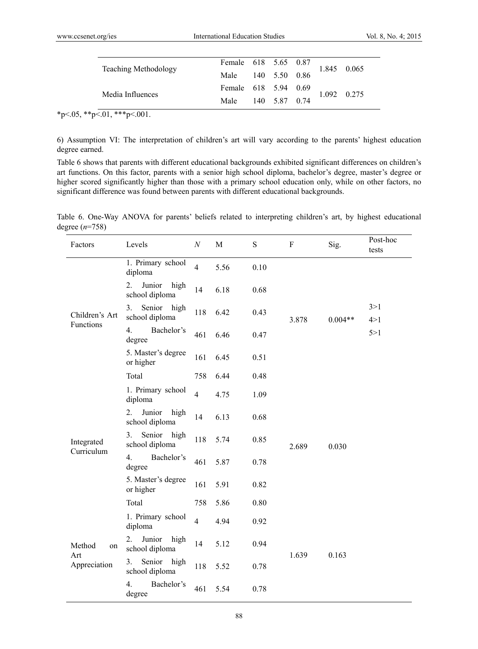|                             | Female 618 5.65 0.87 |  |  | 1.845 0.065 |
|-----------------------------|----------------------|--|--|-------------|
| <b>Teaching Methodology</b> | Male 140 5.50 0.86   |  |  |             |
| Media Influences            | Female 618 5.94 0.69 |  |  | 1.092 0.275 |
|                             | Male 140 5.87 0.74   |  |  |             |

 $*p<.05$ ,  $*p<.01$ ,  $***p<.001$ .

6) Assumption VI: The interpretation of children's art will vary according to the parents' highest education degree earned.

Table 6 shows that parents with different educational backgrounds exhibited significant differences on children's art functions. On this factor, parents with a senior high school diploma, bachelor's degree, master's degree or higher scored significantly higher than those with a primary school education only, while on other factors, no significant difference was found between parents with different educational backgrounds.

Table 6. One-Way ANOVA for parents' beliefs related to interpreting children's art, by highest educational degree (*n*=758)

| Factors                             | Levels                                   | $\cal N$       | M    | ${\bf S}$ | $\rm F$ | Sig.      | Post-hoc<br>tests |
|-------------------------------------|------------------------------------------|----------------|------|-----------|---------|-----------|-------------------|
|                                     | 1. Primary school<br>diploma             | $\overline{4}$ | 5.56 | 0.10      |         |           |                   |
|                                     | 2.<br>Junior<br>high<br>school diploma   | 14             | 6.18 | 0.68      |         |           |                   |
| Children's Art                      | Senior high<br>3.<br>school diploma      | 118            | 6.42 | 0.43      | 3.878   | $0.004**$ | 3 > 1<br>4 > 1    |
| Functions                           | 4.<br>Bachelor's<br>degree               | 461            | 6.46 | 0.47      |         |           | 5 > 1             |
|                                     | 5. Master's degree<br>or higher          | 161            | 6.45 | 0.51      |         |           |                   |
|                                     | Total                                    | 758            | 6.44 | 0.48      |         |           |                   |
|                                     | 1. Primary school<br>diploma             | $\overline{4}$ | 4.75 | 1.09      |         |           |                   |
|                                     | 2.<br>Junior<br>high<br>school diploma   | 14             | 6.13 | 0.68      | 2.689   | 0.030     |                   |
| Integrated                          | Senior high<br>3.<br>school diploma      | 118            | 5.74 | 0.85      |         |           |                   |
| Curriculum                          | 4.<br>Bachelor's<br>degree               | 461            | 5.87 | 0.78      |         |           |                   |
|                                     | 5. Master's degree<br>or higher          | 161            | 5.91 | 0.82      |         |           |                   |
|                                     | Total                                    | 758            | 5.86 | 0.80      |         |           |                   |
|                                     | 1. Primary school<br>diploma             | $\overline{4}$ | 4.94 | 0.92      |         |           |                   |
| Method<br>on<br>Art<br>Appreciation | Junior<br>2.<br>high<br>school diploma   | 14             | 5.12 | 0.94      |         |           |                   |
|                                     | Senior high<br>3.<br>school diploma      | 118            | 5.52 | 0.78      | 1.639   | 0.163     |                   |
|                                     | Bachelor's<br>$\overline{4}$ .<br>degree | 461            | 5.54 | 0.78      |         |           |                   |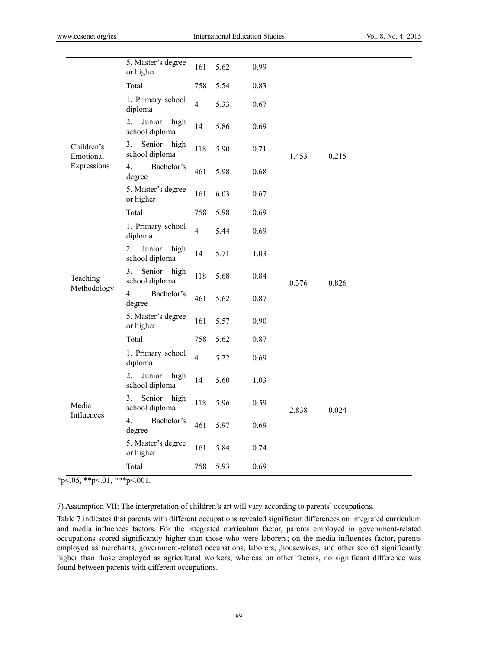|                         | 5. Master's degree<br>or higher        | 161            | 5.62 | 0.99 |       |       |  |
|-------------------------|----------------------------------------|----------------|------|------|-------|-------|--|
|                         | Total                                  | 758            | 5.54 | 0.83 |       |       |  |
|                         | 1. Primary school<br>diploma           | $\overline{4}$ | 5.33 | 0.67 |       |       |  |
|                         | Junior<br>2.<br>high<br>school diploma | 14             | 5.86 | 0.69 |       |       |  |
| Children's<br>Emotional | Senior high<br>3.<br>school diploma    | 118            | 5.90 | 0.71 | 1.453 | 0.215 |  |
| Expressions             | 4.<br>Bachelor's<br>degree             | 461            | 5.98 | 0.68 |       |       |  |
|                         | 5. Master's degree<br>or higher        | 161            | 6.03 | 0.67 |       |       |  |
|                         | Total                                  | 758            | 5.98 | 0.69 |       |       |  |
| Teaching                | 1. Primary school<br>diploma           | $\overline{4}$ | 5.44 | 0.69 | 0.376 |       |  |
|                         | Junior<br>2.<br>high<br>school diploma | 14             | 5.71 | 1.03 |       |       |  |
|                         | Senior<br>3.<br>high<br>school diploma | 118            | 5.68 | 0.84 |       | 0.826 |  |
| Methodology             | 4.<br>Bachelor's<br>degree             | 461            | 5.62 | 0.87 |       |       |  |
|                         | 5. Master's degree<br>or higher        | 161            | 5.57 | 0.90 |       |       |  |
|                         | Total                                  | 758            | 5.62 | 0.87 |       |       |  |
|                         | 1. Primary school<br>diploma           | $\overline{4}$ | 5.22 | 0.69 |       |       |  |
|                         | Junior<br>2.<br>high<br>school diploma | 14             | 5.60 | 1.03 |       |       |  |
| Media                   | Senior<br>high<br>3.<br>school diploma | 118            | 5.96 | 0.59 | 2.838 | 0.024 |  |
| Influences              | 4.<br>Bachelor's<br>degree             | 461            | 5.97 | 0.69 |       |       |  |
|                         | 5. Master's degree<br>or higher        | 161            | 5.84 | 0.74 |       |       |  |
|                         | Total                                  | 758            | 5.93 | 0.69 |       |       |  |
|                         |                                        |                |      |      |       |       |  |

 $*p<.05, **p<.01, **p<.001.$ 

7) Assumption VII: The interpretation of children's art will vary according to parents' occupations.

Table 7 indicates that parents with different occupations revealed significant differences on integrated curriculum and media influences factors. For the integrated curriculum factor, parents employed in government-related occupations scored significantly higher than those who were laborers; on the media influences factor, parents employed as merchants, government-related occupations, laborers, ,housewives, and other scored significantly higher than those employed as agricultural workers, whereas on other factors, no significant difference was found between parents with different occupations.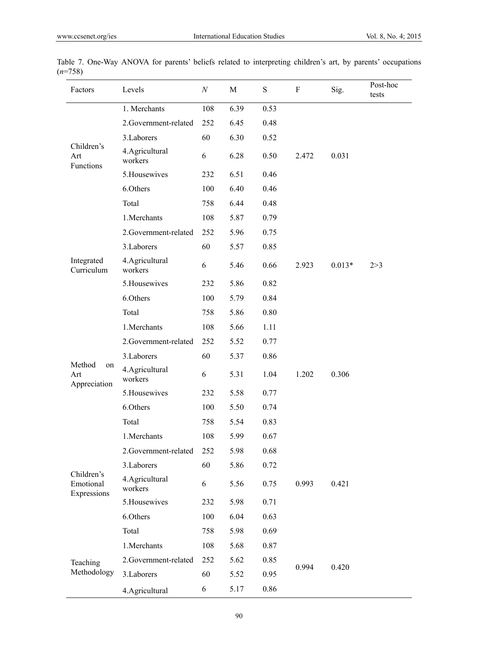| Factors                                | Levels                     | $\cal N$ | M    | ${\bf S}$ | $\rm F$ | Sig.     | Post-hoc<br>tests |
|----------------------------------------|----------------------------|----------|------|-----------|---------|----------|-------------------|
|                                        | 1. Merchants               | 108      | 6.39 | 0.53      |         |          |                   |
|                                        | 2.Government-related       | 252      | 6.45 | 0.48      |         |          |                   |
|                                        | 3. Laborers                | 60       | 6.30 | 0.52      |         |          |                   |
| Children's<br>Art<br>Functions         | 4. Agricultural<br>workers | 6        | 6.28 | 0.50      | 2.472   | 0.031    |                   |
|                                        | 5. Housewives              | 232      | 6.51 | 0.46      |         |          |                   |
|                                        | 6.Others                   | 100      | 6.40 | 0.46      |         |          |                   |
|                                        | Total                      | 758      | 6.44 | 0.48      |         |          |                   |
|                                        | 1.Merchants                | 108      | 5.87 | 0.79      |         |          |                   |
|                                        | 2.Government-related       | 252      | 5.96 | 0.75      |         |          |                   |
|                                        | 3. Laborers                | 60       | 5.57 | 0.85      |         |          |                   |
| Integrated<br>Curriculum               | 4. Agricultural<br>workers | 6        | 5.46 | 0.66      | 2.923   | $0.013*$ | 2 > 3             |
|                                        | 5. Housewives              | 232      | 5.86 | 0.82      |         |          |                   |
|                                        | 6.Others                   | 100      | 5.79 | 0.84      |         |          |                   |
|                                        | Total                      | 758      | 5.86 | 0.80      |         |          |                   |
|                                        | 1.Merchants                | 108      | 5.66 | 1.11      |         |          |                   |
|                                        | 2.Government-related       | 252      | 5.52 | 0.77      |         |          |                   |
|                                        | 3. Laborers                | 60       | 5.37 | 0.86      |         |          |                   |
| Method<br>on<br>Art<br>Appreciation    | 4.Agricultural<br>workers  | 6        | 5.31 | 1.04      | 1.202   | 0.306    |                   |
|                                        | 5. Housewives              | 232      | 5.58 | 0.77      |         |          |                   |
|                                        | 6.Others                   | 100      | 5.50 | 0.74      |         |          |                   |
|                                        | Total                      | 758      | 5.54 | 0.83      |         |          |                   |
| Children's<br>Emotional<br>Expressions | 1.Merchants                | 108      | 5.99 | 0.67      |         |          |                   |
|                                        | 2.Government-related       | 252      | 5.98 | 0.68      |         |          |                   |
|                                        | 3.Laborers                 | 60       | 5.86 | 0.72      |         |          |                   |
|                                        | 4.Agricultural<br>workers  | 6        | 5.56 | 0.75      | 0.993   | 0.421    |                   |
|                                        | 5. Housewives              | 232      | 5.98 | 0.71      |         |          |                   |
|                                        | 6.Others                   | 100      | 6.04 | 0.63      |         |          |                   |
|                                        | Total                      | 758      | 5.98 | 0.69      |         |          |                   |
| Teaching                               | 1.Merchants                | 108      | 5.68 | 0.87      |         |          |                   |
|                                        | 2.Government-related       | 252      | 5.62 | 0.85      |         |          |                   |
| Methodology                            | 3. Laborers                | 60       | 5.52 | 0.95      | 0.994   | 0.420    |                   |
|                                        | 4.Agricultural             | 6        | 5.17 | 0.86      |         |          |                   |

Table 7. One-Way ANOVA for parents' beliefs related to interpreting children's art, by parents' occupations (*n*=758)  $\overline{a}$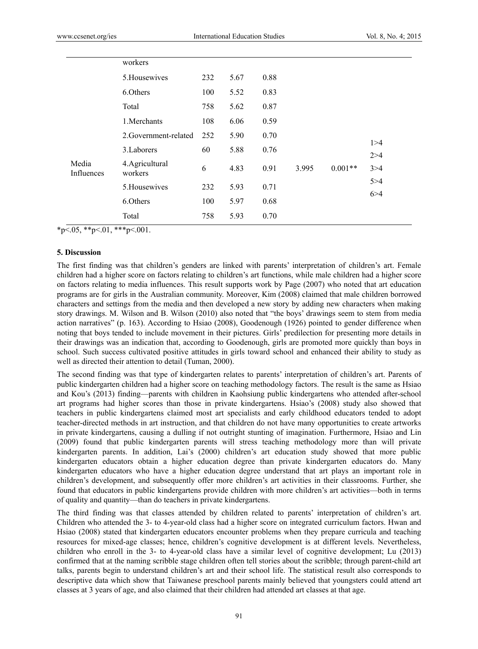|                     | workers                   |     |      |      |       |           |       |
|---------------------|---------------------------|-----|------|------|-------|-----------|-------|
|                     | 5. Housewives             | 232 | 5.67 | 0.88 |       |           |       |
|                     | 6.Others                  | 100 | 5.52 | 0.83 |       |           |       |
|                     | Total                     | 758 | 5.62 | 0.87 |       |           |       |
|                     | 1.Merchants               | 108 | 6.06 | 0.59 |       |           |       |
|                     | 2. Government-related     | 252 | 5.90 | 0.70 |       |           | 1 > 4 |
|                     | 3. Laborers               | 60  | 5.88 | 0.76 |       |           | 2 > 4 |
| Media<br>Influences | 4.Agricultural<br>workers | 6   | 4.83 | 0.91 | 3.995 | $0.001**$ | 3 > 4 |
|                     | 5. Housewives             | 232 | 5.93 | 0.71 |       |           | 5 > 4 |
|                     | 6.Others                  | 100 | 5.97 | 0.68 |       |           | 6 > 4 |
|                     | Total                     | 758 | 5.93 | 0.70 |       |           |       |

 $*_{p}$ <.05,  $*_{p}$ <.01,  $*_{p}$ <.001.

#### **5. Discussion**

The first finding was that children's genders are linked with parents' interpretation of children's art. Female children had a higher score on factors relating to children's art functions, while male children had a higher score on factors relating to media influences. This result supports work by Page (2007) who noted that art education programs are for girls in the Australian community. Moreover, Kim (2008) claimed that male children borrowed characters and settings from the media and then developed a new story by adding new characters when making story drawings. M. Wilson and B. Wilson (2010) also noted that "the boys' drawings seem to stem from media action narratives" (p. 163). According to Hsiao (2008), Goodenough (1926) pointed to gender difference when noting that boys tended to include movement in their pictures. Girls' predilection for presenting more details in their drawings was an indication that, according to Goodenough, girls are promoted more quickly than boys in school. Such success cultivated positive attitudes in girls toward school and enhanced their ability to study as well as directed their attention to detail (Tuman, 2000).

The second finding was that type of kindergarten relates to parents' interpretation of children's art. Parents of public kindergarten children had a higher score on teaching methodology factors. The result is the same as Hsiao and Kou's (2013) finding—parents with children in Kaohsiung public kindergartens who attended after-school art programs had higher scores than those in private kindergartens. Hsiao's (2008) study also showed that teachers in public kindergartens claimed most art specialists and early childhood educators tended to adopt teacher-directed methods in art instruction, and that children do not have many opportunities to create artworks in private kindergartens, causing a dulling if not outright stunting of imagination. Furthermore, Hsiao and Lin (2009) found that public kindergarten parents will stress teaching methodology more than will private kindergarten parents. In addition, Lai's (2000) children's art education study showed that more public kindergarten educators obtain a higher education degree than private kindergarten educators do. Many kindergarten educators who have a higher education degree understand that art plays an important role in children's development, and subsequently offer more children's art activities in their classrooms. Further, she found that educators in public kindergartens provide children with more children's art activities—both in terms of quality and quantity—than do teachers in private kindergartens.

The third finding was that classes attended by children related to parents' interpretation of children's art. Children who attended the 3- to 4-year-old class had a higher score on integrated curriculum factors. Hwan and Hsiao (2008) stated that kindergarten educators encounter problems when they prepare curricula and teaching resources for mixed-age classes; hence, children's cognitive development is at different levels. Nevertheless, children who enroll in the 3- to 4-year-old class have a similar level of cognitive development; Lu (2013) confirmed that at the naming scribble stage children often tell stories about the scribble; through parent-child art talks, parents begin to understand children's art and their school life. The statistical result also corresponds to descriptive data which show that Taiwanese preschool parents mainly believed that youngsters could attend art classes at 3 years of age, and also claimed that their children had attended art classes at that age.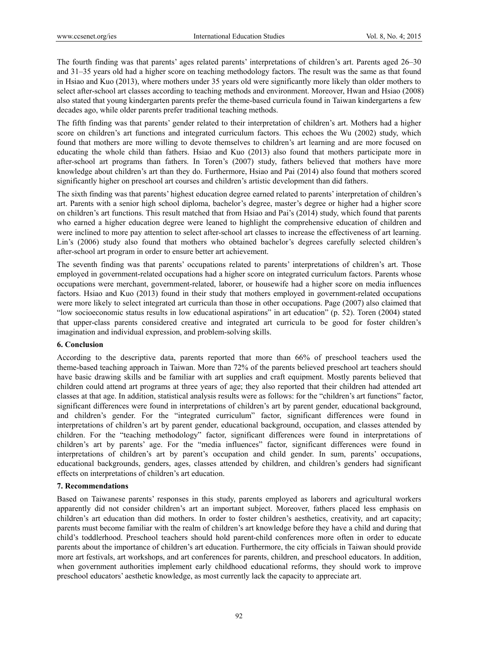The fourth finding was that parents' ages related parents' interpretations of children's art. Parents aged 26–30 and 31–35 years old had a higher score on teaching methodology factors. The result was the same as that found in Hsiao and Kuo (2013), where mothers under 35 years old were significantly more likely than older mothers to select after-school art classes according to teaching methods and environment. Moreover, Hwan and Hsiao (2008) also stated that young kindergarten parents prefer the theme-based curricula found in Taiwan kindergartens a few decades ago, while older parents prefer traditional teaching methods.

The fifth finding was that parents' gender related to their interpretation of children's art. Mothers had a higher score on children's art functions and integrated curriculum factors. This echoes the Wu (2002) study, which found that mothers are more willing to devote themselves to children's art learning and are more focused on educating the whole child than fathers. Hsiao and Kuo (2013) also found that mothers participate more in after-school art programs than fathers. In Toren's (2007) study, fathers believed that mothers have more knowledge about children's art than they do. Furthermore, Hsiao and Pai (2014) also found that mothers scored significantly higher on preschool art courses and children's artistic development than did fathers.

The sixth finding was that parents' highest education degree earned related to parents' interpretation of children's art. Parents with a senior high school diploma, bachelor's degree, master's degree or higher had a higher score on children's art functions. This result matched that from Hsiao and Pai's (2014) study, which found that parents who earned a higher education degree were leaned to highlight the comprehensive education of children and were inclined to more pay attention to select after-school art classes to increase the effectiveness of art learning. Lin's (2006) study also found that mothers who obtained bachelor's degrees carefully selected children's after-school art program in order to ensure better art achievement.

The seventh finding was that parents' occupations related to parents' interpretations of children's art. Those employed in government-related occupations had a higher score on integrated curriculum factors. Parents whose occupations were merchant, government-related, laborer, or housewife had a higher score on media influences factors. Hsiao and Kuo (2013) found in their study that mothers employed in government-related occupations were more likely to select integrated art curricula than those in other occupations. Page (2007) also claimed that "low socioeconomic status results in low educational aspirations" in art education" (p. 52). Toren (2004) stated that upper-class parents considered creative and integrated art curricula to be good for foster children's imagination and individual expression, and problem-solving skills.

## **6. Conclusion**

According to the descriptive data, parents reported that more than 66% of preschool teachers used the theme-based teaching approach in Taiwan. More than 72% of the parents believed preschool art teachers should have basic drawing skills and be familiar with art supplies and craft equipment. Mostly parents believed that children could attend art programs at three years of age; they also reported that their children had attended art classes at that age. In addition, statistical analysis results were as follows: for the "children's art functions" factor, significant differences were found in interpretations of children's art by parent gender, educational background, and children's gender. For the "integrated curriculum" factor, significant differences were found in interpretations of children's art by parent gender, educational background, occupation, and classes attended by children. For the "teaching methodology" factor, significant differences were found in interpretations of children's art by parents' age. For the "media influences" factor, significant differences were found in interpretations of children's art by parent's occupation and child gender. In sum, parents' occupations, educational backgrounds, genders, ages, classes attended by children, and children's genders had significant effects on interpretations of children's art education.

## **7. Recommendations**

Based on Taiwanese parents' responses in this study, parents employed as laborers and agricultural workers apparently did not consider children's art an important subject. Moreover, fathers placed less emphasis on children's art education than did mothers. In order to foster children's aesthetics, creativity, and art capacity; parents must become familiar with the realm of children's art knowledge before they have a child and during that child's toddlerhood. Preschool teachers should hold parent-child conferences more often in order to educate parents about the importance of children's art education. Furthermore, the city officials in Taiwan should provide more art festivals, art workshops, and art conferences for parents, children, and preschool educators. In addition, when government authorities implement early childhood educational reforms, they should work to improve preschool educators' aesthetic knowledge, as most currently lack the capacity to appreciate art.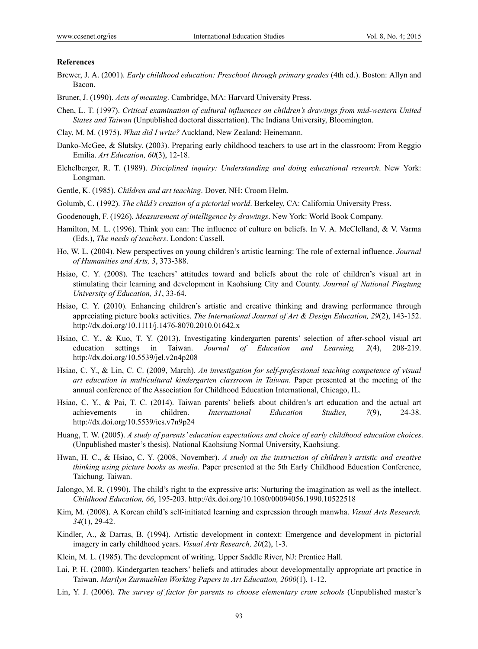#### **References**

- Brewer, J. A. (2001). *Early childhood education: Preschool through primary grades* (4th ed.). Boston: Allyn and Bacon.
- Bruner, J. (1990). *Acts of meaning*. Cambridge, MA: Harvard University Press.
- Chen, L. T. (1997). *Critical examination of cultural influences on children's drawings from mid-western United States and Taiwan* (Unpublished doctoral dissertation). The Indiana University, Bloomington.
- Clay, M. M. (1975). *What did I write?* Auckland, New Zealand: Heinemann.
- Danko-McGee, & Slutsky. (2003). Preparing early childhood teachers to use art in the classroom: From Reggio Emilia. *Art Education, 60*(3), 12-18.
- Elchelberger, R. T. (1989). *Disciplined inquiry: Understanding and doing educational research*. New York: Longman.
- Gentle, K. (1985). *Children and art teaching*. Dover, NH: Croom Helm.
- Golumb, C. (1992). *The child's creation of a pictorial world*. Berkeley, CA: California University Press.
- Goodenough, F. (1926). *Measurement of intelligence by drawings*. New York: World Book Company.
- Hamilton, M. L. (1996). Think you can: The influence of culture on beliefs. In V. A. McClelland, & V. Varma (Eds.), *The needs of teachers*. London: Cassell.
- Ho, W. L. (2004). New perspectives on young children's artistic learning: The role of external influence. *Journal of Humanities and Arts, 3*, 373-388.
- Hsiao, C. Y. (2008). The teachers' attitudes toward and beliefs about the role of children's visual art in stimulating their learning and development in Kaohsiung City and County. *Journal of National Pingtung University of Education, 31*, 33-64.
- Hsiao, C. Y. (2010). Enhancing children's artistic and creative thinking and drawing performance through appreciating picture books activities. *The International Journal of Art & Design Education, 29*(2), 143-152. http://dx.doi.org/10.1111/j.1476-8070.2010.01642.x
- Hsiao, C. Y., & Kuo, T. Y. (2013). Investigating kindergarten parents' selection of after-school visual art education settings in Taiwan. *Journal of Education and Learning, 2*(4), 208-219. http://dx.doi.org/10.5539/jel.v2n4p208
- Hsiao, C. Y., & Lin, C. C. (2009, March). *An investigation for self-professional teaching competence of visual art education in multicultural kindergarten classroom in Taiwan*. Paper presented at the meeting of the annual conference of the Association for Childhood Education International, Chicago, IL.
- Hsiao, C. Y., & Pai, T. C. (2014). Taiwan parents' beliefs about children's art education and the actual art achievements in children. *International Education Studies, 7*(9), 24-38. http://dx.doi.org/10.5539/ies.v7n9p24
- Huang, T. W. (2005). *A study of parents' education expectations and choice of early childhood education choices*. (Unpublished master's thesis). National Kaohsiung Normal University, Kaohsiung.
- Hwan, H. C., & Hsiao, C. Y. (2008, November). *A study on the instruction of children's artistic and creative thinking using picture books as media*. Paper presented at the 5th Early Childhood Education Conference, Taichung, Taiwan.
- Jalongo, M. R. (1990). The child's right to the expressive arts: Nurturing the imagination as well as the intellect. *Childhood Education, 66*, 195-203. http://dx.doi.org/10.1080/00094056.1990.10522518
- Kim, M. (2008). A Korean child's self-initiated learning and expression through manwha. *Visual Arts Research, 34*(1), 29-42.
- Kindler, A., & Darras, B. (1994). Artistic development in context: Emergence and development in pictorial imagery in early childhood years. *Visual Arts Research, 20*(2), 1-3.
- Klein, M. L. (1985). The development of writing. Upper Saddle River, NJ: Prentice Hall.
- Lai, P. H. (2000). Kindergarten teachers' beliefs and attitudes about developmentally appropriate art practice in Taiwan. *Marilyn Zurmuehlen Working Papers in Art Education, 2000*(1), 1-12.
- Lin, Y. J. (2006). *The survey of factor for parents to choose elementary cram schools* (Unpublished master's